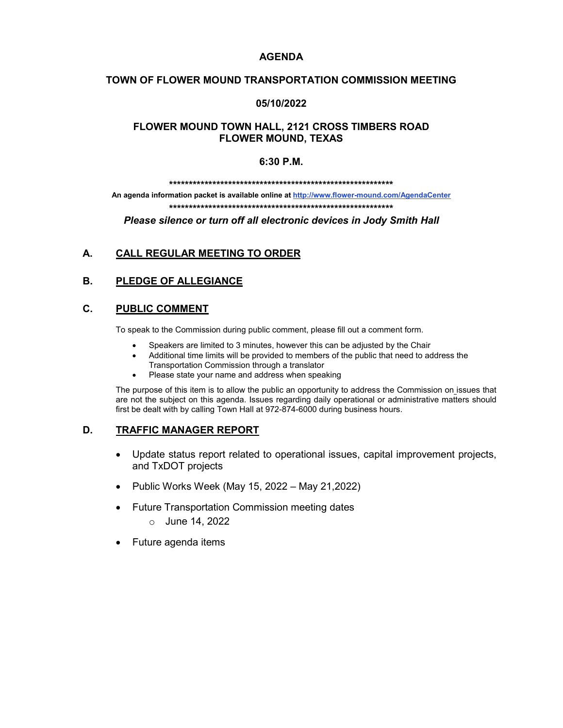### **AGENDA**

## **TOWN OF FLOWER MOUND TRANSPORTATION COMMISSION MEETING**

### **05/10/2022**

## **FLOWER MOUND TOWN HALL, 2121 CROSS TIMBERS ROAD FLOWER MOUND, TEXAS**

#### **6:30 P.M.**

**\*\*\*\*\*\*\*\*\*\*\*\*\*\*\*\*\*\*\*\*\*\*\*\*\*\*\*\*\*\*\*\*\*\*\*\*\*\*\*\*\*\*\*\*\*\*\*\*\*\*\*\*\*\*\*\*\***

**An agenda information packet is available online a[t http://www.flower-mound.com/AgendaCenter](http://www.flower-mound.com/AgendaCenter) \*\*\*\*\*\*\*\*\*\*\*\*\*\*\*\*\*\*\*\*\*\*\*\*\*\*\*\*\*\*\*\*\*\*\*\*\*\*\*\*\*\*\*\*\*\*\*\*\*\*\*\*\*\*\*\*\***

*Please silence or turn off all electronic devices in Jody Smith Hall*

## **A. CALL REGULAR MEETING TO ORDER**

## **B. PLEDGE OF ALLEGIANCE**

#### **C. PUBLIC COMMENT**

To speak to the Commission during public comment, please fill out a comment form.

- Speakers are limited to 3 minutes, however this can be adjusted by the Chair
- Additional time limits will be provided to members of the public that need to address the
- Transportation Commission through a translator
- Please state your name and address when speaking

The purpose of this item is to allow the public an opportunity to address the Commission on issues that are not the subject on this agenda. Issues regarding daily operational or administrative matters should first be dealt with by calling Town Hall at 972-874-6000 during business hours.

### **D. TRAFFIC MANAGER REPORT**

- Update status report related to operational issues, capital improvement projects, and TxDOT projects
- Public Works Week (May 15, 2022 May 21,2022)
- Future Transportation Commission meeting dates
	- o June 14, 2022
- Future agenda items